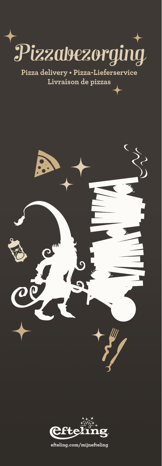

**Pizza delivery • Pizza-Lieferservice Livraison de pizzas**





**efteling.com/mijnefteling**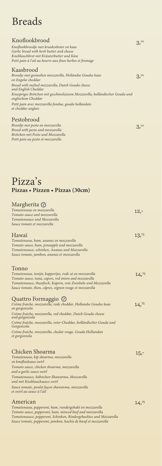# Breads

### Knoflookbrood

| Knoflookbrood                                                                                   | 3,10            |
|-------------------------------------------------------------------------------------------------|-----------------|
| Knoflookbroodje met kruidenboter en kaas                                                        |                 |
| Garlic bread with herb butter and cheese                                                        |                 |
| Knoblauchbrot mit Kräuterbutter und Käse                                                        |                 |
| Petit pain à l'ail au beurre aux fines herbes et fromage                                        |                 |
| Kaasbrood                                                                                       |                 |
| Broodje met gesmolten mozzarella, Hollandse Goudse kaas<br>en Engelse cheddar                   | 3 <sup>10</sup> |
| Bread with melted mozzarella, Dutch Gouda cheese<br>and English Cheddar                         |                 |
| Knuspriges Brötchen mit geschmolzenem Mozzarella, holländischer Gouda und<br>englischem Cheddar |                 |
| Petit pain avec mozzarella fondue, gouda hollandais<br>et cheddar anglais                       |                 |
| Pestobrood                                                                                      |                 |

*Broodje met pesto en mozzarella Bread with pesto and mozzarella Brötchen mit Pesto und Mozzarella Petit pain au pesto et mozzarella*

3,10

## Pizza's **Pizzas • Pizzen • Pizzas (30cm)**

| Margherita <sup>®</sup>                                                                                                                                                                  |                  |
|------------------------------------------------------------------------------------------------------------------------------------------------------------------------------------------|------------------|
| Tomatensaus en mozzarella                                                                                                                                                                | $12,-$           |
| Tomato sauce and mozzarella                                                                                                                                                              |                  |
| Tomatensauce und Mozzarella                                                                                                                                                              |                  |
| Sauce tomate et mozzarella                                                                                                                                                               |                  |
| Hawaï                                                                                                                                                                                    | 13 <sup>75</sup> |
| Tomatensaus, ham, ananas en mozzarella                                                                                                                                                   |                  |
| Tomato sauce, ham, pineapple and mozzarella                                                                                                                                              |                  |
| Tomatensauce, schinken, Ananas und Mozzarella                                                                                                                                            |                  |
| Sauce tomate, jambon, ananas et mozzarella                                                                                                                                               |                  |
| Tonno                                                                                                                                                                                    |                  |
| Tomatensaus, tonijn, kappertjes, rode ui en mozzarella                                                                                                                                   | 14,75            |
| Tomato sauce, tuna, capers, red onion and mozzarella                                                                                                                                     |                  |
| Tomatensauce, thunfisch, Kapern, rote Zwiebeln und Mozzarella                                                                                                                            |                  |
| Sauce tomate, thon, câpres, oignon rouge et mozzarella                                                                                                                                   |                  |
| Quattro Formaggio <b>W</b>                                                                                                                                                               |                  |
| Créme fraiche, mozzarella, rode cheddar, Hollandse Goudse kaas<br>en gorgonzola                                                                                                          | 14,75            |
| Créme fraiche, mozzarella, red cheddar, Dutch Gouda cheese<br>and gorgonzola                                                                                                             |                  |
| Créme fraiche, mozzarella, roter Cheddar, holländischer Gouda und<br>Gorgonzola                                                                                                          |                  |
| Créme fraiche, mozzarella, chedar rouge, Gouda Hollandais<br>et gorgonzola                                                                                                               |                  |
| Chicken Shoarma                                                                                                                                                                          | $15,-$           |
| Tomatensaus, kip shoarma, mozzarella<br>en knoflooksaus swirl                                                                                                                            |                  |
| Tomato sauce, chicken shoarma, mozzarella<br>and a garlic sauce swirl                                                                                                                    |                  |
| Tomatensauce, hähnchen Shawarma, Mozzarella<br>und mit Knoblauchsauce swirl                                                                                                              |                  |
| Sauce tomate, poulet façon shawarma, mozzarella<br>et swirl au sauce à l'ail                                                                                                             |                  |
| American                                                                                                                                                                                 | 14,75            |
| Tomatensaus, pepperoni, ham, rundergehakt en mozzarella<br>Tomato sauce, pepperoni, ham, minced beef and mozzarella<br>Tomatensauce, pepperoni, Schinken, Rindergehacktes und Mozzarella |                  |

*Sauce tomate, pepperoni, jambon, hachis de bœuf et mozzarella*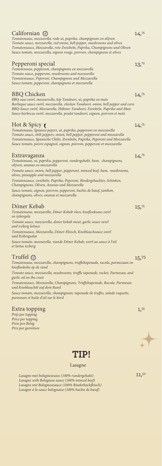| Californian (O<br>Tomatensaus, mozzarella, rode ui, paprika, champignons en olijven                                                                                                                                                                                                                                               | 14,75 |
|-----------------------------------------------------------------------------------------------------------------------------------------------------------------------------------------------------------------------------------------------------------------------------------------------------------------------------------|-------|
| Tomato sauce, mozzarella, red onion, bell pepper, mushrooms and olives<br>Tomatensauce, Mozzarella, rote Zwiebeln, Paprika, Champignons und Oliven<br>Sauce tomate, mozzarella, oignon rouge, poivron, champignons et olives                                                                                                      |       |
| Pepperoni special<br>Tomatensaus, pepperoni, champignons en mozzarella<br>Tomato sauce, pepperoni, mushrooms and mozzarella<br>Tomatensauce, Peperoni, Champignons und Mozzarella<br>Sauce tomate, pepperoni, champignons et mozzarella                                                                                           | 13,75 |
| <b>BBQ</b> Chicken<br>BBQ saus swirl, mozzarrella, kip Tandoori, ui, paprika en maïs<br>Barbeque sauce swirl, mozzarella, chicken Tandoori, onion, bell pepper and corn<br>BBQ-Sauce swirl, Mozzarella, Hühner-Tandoori, Zwiebeln, Paprika und Mais<br>Sauce barbecue swirl, mozzarella, poulet tandoori, oignon, poivron et maïs | 14,75 |
| Hot & Spicy<br>Tomatensaus, Spaanse pepers, ui, paprika, pepperoni en mozzarella<br>Tomato sauce, chili peppers, onion, bell pepper, pepperoni and mozzarella<br>Tomatensauce, Spanische Chilis, Zwiebeln, Paprika, Peperoni und Mozzarella<br>Sauce tomate, poivre espagnol, oignon, poivron, pepperoni et mozzarella            | 14,75 |
| Extravaganza<br>Tomatensaus, ui, paprika, pepperoni, rundergehakt, ham, champignons,<br>olijven, ananas en mozzarella                                                                                                                                                                                                             | 14,75 |
| Tomato sauce, onion, bell pepper, pepperoni, minced beef, ham, mushrooms,<br>olives, pineapple and mozzarella                                                                                                                                                                                                                     |       |
| Tomatensauce, zwiebeln, Paprika, Peperoni, Rindergehacktes, Schinken,<br>Champignons, Oliven, Ananas und Mozzarella                                                                                                                                                                                                               |       |
| Sauce tomate, oignon, poivron, pepperoni, hachis de bœuf, jambon,<br>champignons, olives, ananas et mozzarella                                                                                                                                                                                                                    |       |
| Döner Kebab<br>Tomatensaus, mozzarella, Döner Kebab vlees, knoflooksaus swirl<br>en ijsbergsla                                                                                                                                                                                                                                    | 15,75 |
| Tomato sauce, mozzarella, doner kebab meat, garlic sauce swirl<br>and iceberg lettuce                                                                                                                                                                                                                                             |       |
| Tomatensauce, Mozzarella, Döner-Fleisch, Knoblauchsauce swirl<br>und Eisbergsalat                                                                                                                                                                                                                                                 |       |
| Sauce tomate, mozzarella, viande Döner Kebab, swirl au sauce à l'ail<br>et laitue iceberg                                                                                                                                                                                                                                         |       |
| Truffel $\circledcirc$<br>Tomatensaus, mozzarella, champignons, truffeltapenade, rucola, parmezaan en                                                                                                                                                                                                                             | 15,75 |

*knoflookolie op de rand Tomato sauce, mozzarella, mushrooms, truffle tapenade, rocket, Parmesan, and garlic oil on the crust Tomatensauce, Mozzarella, Champignons, Trüffeltapenade, Rucola, Parmesan und Knoblauchöl auf dem Rand* 

*Sauce tomate, mozzarella, champignons, tapenade de truffes, salade roquette, parmesan et huile d'ail sur le bord*

### Extra topping

*Prijs per topping Price per topping Preis pro Belag Prix par garniture*



#### Lasagne

*Lasagne met bolognesesaus (100% rundergehakt) Lasagne with Bolognese sauce (100% minced beef) Lasagne mit Bolognesesauce (100% Rinderhackfleisch) Lasagne à la sauce bolognaise (100% hachis de bœuf)*

11,50

1,55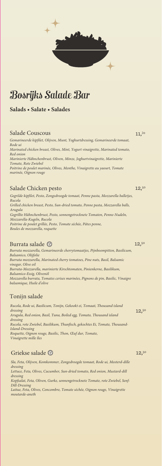

# Bosrijks Salade Bar

**Salads • Salate • Salades**

#### Salade Couscous

*Gemarineerde kipfilet, Olijven, Munt, Yoghurtdressing, Gemarineerde tomaat, Rode ui Marinated chicken breast, Olives, Mint, Yogurt vinaigrette, Marinated tomato, Red onion Marinierte Hähnchenbrust, Oliven, Minze, Joghurtvinaigrette, Marinierte Tomate, Rote Zwiebel Poitrine de poulet marinée, Olives, Menthe, Vinaigrette au yaourt, Tomate marinée, Oignon rouge*

#### Salade Chicken pesto

*Gegrilde kipfilet, Pesto, Zongedroogde tomaat, Penne pasta, Mozzarella balletjes, Rucola Grilled chicken breast, Pesto, Sun-dried tomato, Penne pasta, Mozzarella balls, Arugula Gegrillte Hähnchenbrust, Pesto, sonnengetrocknete Tomaten, Penne-Nudeln, Mozzarella-Kugeln, Rucola Poitrine de poulet grillée, Pesto, Tomate séchée, Pâtes penne, Boules de mozzarella, roquette*

#### Burrata salade

*Burrata mozzarella, Gemarineerde cherrytomaatjes, Pijnboompitten, Basilicum, Balsamico, Olijfolie Burrata mozzarella, Marinated cherry tomatoes, Pine nuts, Basil, Balsamic vinegar, Olive oil Burrata-Mozzarella, marinierte Kirschtomaten, Pinienkerne, Basilikum, Balsamico-Essig, Olivenöl Mozzarella burrata, Tomates cerises marinées, Pignons de pin, Basilic, Vinaigre balsamique, Huile d'olive*

#### Tonijn salade

| Rucola, Rode ui, Basilicum, Tonijn, Gekookt ei, Tomaat, Thousand island<br>dressing     | 12,50 |
|-----------------------------------------------------------------------------------------|-------|
| Arugula, Red onion, Basil, Tuna, Boiled egg, Tomato, Thousand island                    |       |
| dressing<br>Rucola, rote Zwiebel, Basilikum, Thunfisch, gekochtes Ei, Tomate, Thousand- |       |
| Island-Dressing<br>Roquette, Oignon rouge, Basilic, Thon, Œuf dur, Tomate,              |       |
| Vinaigrette mille îles                                                                  |       |

### Griekse salade ®

*Sla, Feta, Olijven, Komkommer, Zongedroogde tomaat, Rode ui, Mosterd-dille dressing Lettuce, Feta, Olives, Cucumber, Sun-dried tomato, Red onion, Mustard-dill dressing Kopfsalat, Feta, Oliven, Gurke, sonnengetrocknete Tomate, rote Zwiebel, Senf-Dill-Dressing Laitue, Feta, Olives, Concombre, Tomate séchée, Oignon rouge, Vinaigrette moutarde-aneth*

11,2<sup>0</sup>

12,50

 $12,50$ 

12.50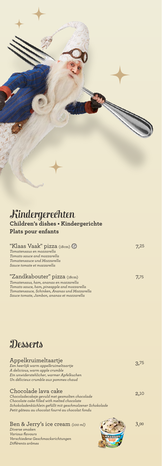## Kindergerechten **Children's dishes • Kindergerichte Plats pour enfants**

| "Klaas Vaak" pizza (18cm) (V                                                                                                                                                                                        |      |
|---------------------------------------------------------------------------------------------------------------------------------------------------------------------------------------------------------------------|------|
| Tomatensaus en mozzarella                                                                                                                                                                                           |      |
| Tomato sauce and mozzarella                                                                                                                                                                                         |      |
| Tomatensauce und Mozzarella                                                                                                                                                                                         |      |
| Sauce tomate et mozzarella                                                                                                                                                                                          |      |
| "Zandkabouter" pizza (18cm)<br>Tomatensaus, ham, ananas en mozzarella<br>Tomato sauce, ham, pineapple and mozzarella<br>Tomatensauce, Schinken, Ananas und Mozzarella<br>Sauce tomate, Jambon, ananas et mozzarella | 7,75 |

# **Desserts**

*Différents arômes*

| Appelkruimeltaartje<br>Een heerlijk warm appelkruimeltaartje<br>A delicious, warm apple crumble<br>Ein unwiderstehlicher, warmer Apfelkuchen                                                                                          | R.75 |
|---------------------------------------------------------------------------------------------------------------------------------------------------------------------------------------------------------------------------------------|------|
| Un délicieux crumble aux pommes chaud                                                                                                                                                                                                 |      |
| Chocolade lava cake<br>Chocoladecakeje gevuld met gesmolten chocolade<br>Chocolate cake filled with melted chocolate<br>Schokoladenküchlein gefüllt mit geschmolzener Schokolade<br>Petit gâteau au chocolat fourré au chocolat fondu | 2,10 |
| Ben & Jerry's ice cream (100 ml)<br>Diverse smaken<br>Various flavours<br>Verschiedene Geschmacksrichtungen                                                                                                                           | 3,00 |

**CONTRACTOR**